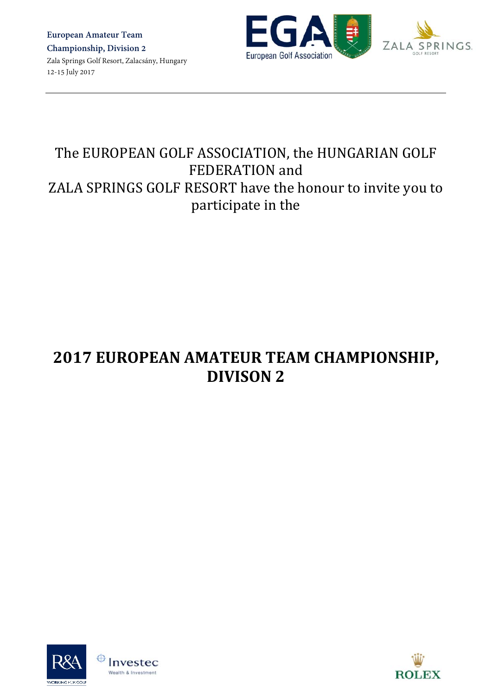**European Amateur Team Championship, Division 2** Zala Springs Golf Resort, Zalacsány, Hungary 12-15 July 2017



# The EUROPEAN GOLF ASSOCIATION, the HUNGARIAN GOLF FEDERATION and ZALA SPRINGS GOLF RESORT have the honour to invite you to participate in the

# **2017 EUROPEAN AMATEUR TEAM CHAMPIONSHIP, DIVISON 2**





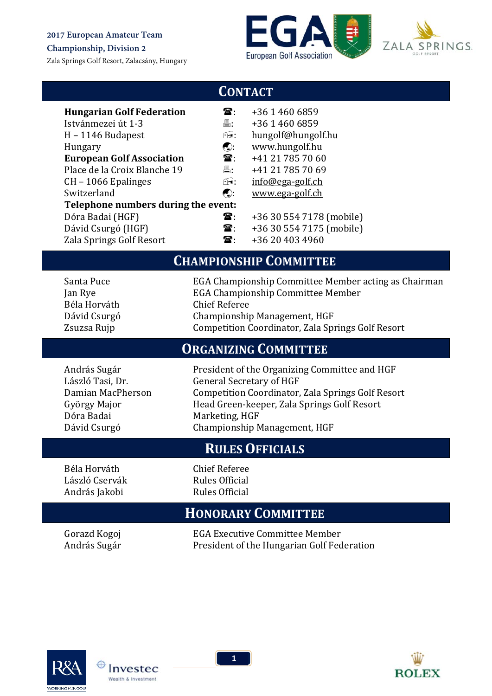**Championship, Division 2**

Zala Springs Golf Resort, Zalacsány, Hungary





### **CONTACT**

| <b>Hungarian Golf Federation</b>    | £.                                                | +36 1 460 6859           |
|-------------------------------------|---------------------------------------------------|--------------------------|
| Istvánmezei út 1-3                  | 昌:                                                | +36 1 460 6859           |
| $H - 1146$ Budapest                 | F9.                                               | hungolf@hungolf.hu       |
| Hungary                             | $\left(\begin{matrix} 0 \\ 0 \end{matrix}\right)$ | www.hungolf.hu           |
| <b>European Golf Association</b>    | ${\bf \widehat{a}}$ .                             | +41 21 785 70 60         |
| Place de la Croix Blanche 19        | 昌:                                                | +41 21 785 70 69         |
| $CH - 1066$ Epalinges               | F9.                                               | info@ega-golf.ch         |
| Switzerland                         | $\left(\begin{matrix} 0 \\ 0 \end{matrix}\right)$ | www.ega-golf.ch          |
| Telephone numbers during the event: |                                                   |                          |
| Dóra Badai (HGF)                    | $\mathbf{\widehat{a}}$ :                          | +36 30 554 7178 (mobile) |
| Dávid Csurgó (HGF)                  | ${\bf \widehat{a}}$ :                             | +36 30 554 7175 (mobile) |
| Zala Springs Golf Resort            | £.                                                | +36 20 403 4960          |

### **CHAMPIONSHIP COMMITTEE**

| Santa Puce   | EGA Championship Committee Member acting as Chairman |
|--------------|------------------------------------------------------|
| Jan Rye      | <b>EGA Championship Committee Member</b>             |
| Béla Horváth | Chief Referee                                        |
| Dávid Csurgó | Championship Management, HGF                         |
| Zsuzsa Rujp  | Competition Coordinator, Zala Springs Golf Resort    |

### **ORGANIZING COMMITTEE**

Dóra Badai Marketing, HGF

András Sugár **President** of the Organizing Committee and HGF László Tasi, Dr. **General Secretary of HGF** Damian MacPherson Competition Coordinator, Zala Springs Golf Resort György Major **Mullet Comparent Head Green-keeper**, Zala Springs Golf Resort Dávid Csurgó **Championship Management, HGF** 

# **RULES OFFICIALS**

László Cservák **Kales** Official András Jakobi<br>
Rules Official

Béla Horváth **Chief Referee** 

### **HONORARY COMMITTEE**

Gorazd Kogoj **EGA Executive Committee Member** András Sugár **President of the Hungarian Golf Federation** 



Invested Wealth & Investment

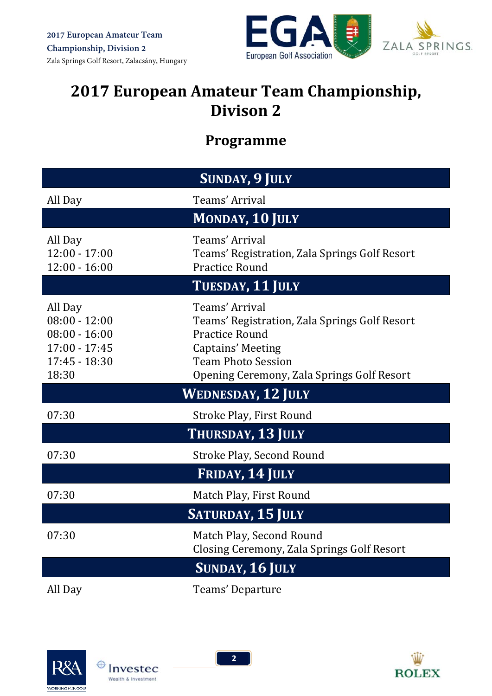

# **2017 European Amateur Team Championship, Divison 2**

# **Programme**

| <b>SUNDAY, 9 JULY</b>                                                                        |                                                                                                                                                                                                 |  |  |
|----------------------------------------------------------------------------------------------|-------------------------------------------------------------------------------------------------------------------------------------------------------------------------------------------------|--|--|
| All Day                                                                                      | Teams' Arrival                                                                                                                                                                                  |  |  |
|                                                                                              | <b>MONDAY, 10 JULY</b>                                                                                                                                                                          |  |  |
| All Day<br>$12:00 - 17:00$<br>$12:00 - 16:00$                                                | Teams' Arrival<br>Teams' Registration, Zala Springs Golf Resort<br><b>Practice Round</b>                                                                                                        |  |  |
|                                                                                              | TUESDAY, 11 JULY                                                                                                                                                                                |  |  |
| All Day<br>$08:00 - 12:00$<br>$08:00 - 16:00$<br>$17:00 - 17:45$<br>$17:45 - 18:30$<br>18:30 | Teams' Arrival<br>Teams' Registration, Zala Springs Golf Resort<br><b>Practice Round</b><br><b>Captains' Meeting</b><br><b>Team Photo Session</b><br>Opening Ceremony, Zala Springs Golf Resort |  |  |
| <b>WEDNESDAY, 12 JULY</b>                                                                    |                                                                                                                                                                                                 |  |  |
| 07:30                                                                                        | Stroke Play, First Round                                                                                                                                                                        |  |  |
|                                                                                              | THURSDAY, 13 JULY                                                                                                                                                                               |  |  |
| 07:30                                                                                        | Stroke Play, Second Round                                                                                                                                                                       |  |  |
|                                                                                              | FRIDAY, 14 JULY                                                                                                                                                                                 |  |  |
| 07:30                                                                                        | Match Play, First Round                                                                                                                                                                         |  |  |
|                                                                                              | <b>SATURDAY, 15 JULY</b>                                                                                                                                                                        |  |  |
| 07:30                                                                                        | Match Play, Second Round<br>Closing Ceremony, Zala Springs Golf Resort                                                                                                                          |  |  |
|                                                                                              | <b>SUNDAY, 16 JULY</b>                                                                                                                                                                          |  |  |
| All Day                                                                                      | Teams' Departure                                                                                                                                                                                |  |  |





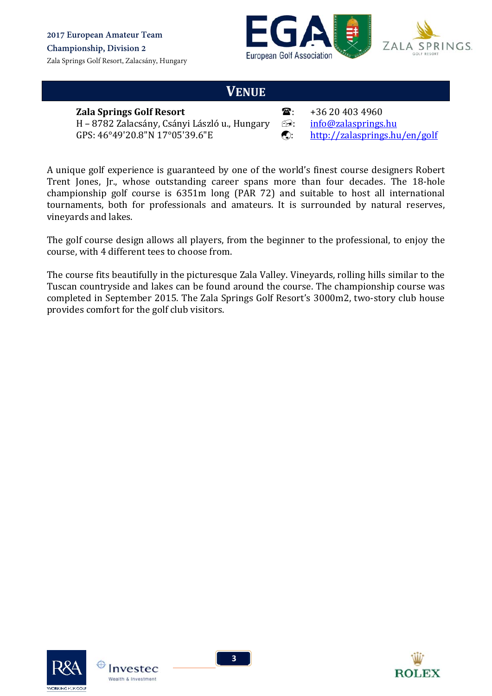



### **VENUE**

#### **Zala Springs Golf Resort**  $\mathbb{R}$ : +36 20 403 4960

 $H - 8782$  Zalacsány, Csányi László u., Hungary  $\Box$ : info@zalasprings.hu GPS:  $46^{\circ}49'20.8''N$  17°05'39.6"E  $\bigcirc$ : http://zalasprings.hu/en/golf

- 
- 

A unique golf experience is guaranteed by one of the world's finest course designers Robert Trent Jones, Jr., whose outstanding career spans more than four decades. The 18-hole championship golf course is  $6351m$  long (PAR 72) and suitable to host all international tournaments, both for professionals and amateurs. It is surrounded by natural reserves, vineyards and lakes.

The golf course design allows all players, from the beginner to the professional, to enjoy the course, with 4 different tees to choose from.

The course fits beautifully in the picturesque Zala Valley. Vineyards, rolling hills similar to the Tuscan countryside and lakes can be found around the course. The championship course was completed in September 2015. The Zala Springs Golf Resort's 3000m2, two-story club house provides comfort for the golf club visitors.



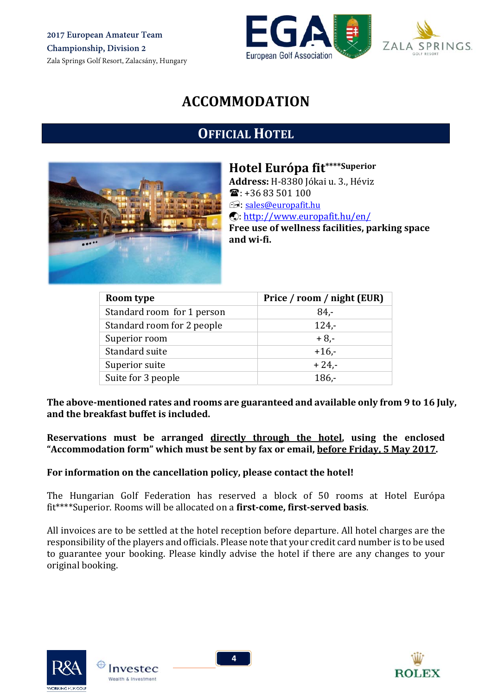**2017 European Amateur Team Championship, Division 2** Zala Springs Golf Resort, Zalacsány, Hungary





# **ACCOMMODATION**

# **OFFICIAL HOTEL**



**Hotel Európa fit\*\*\*\*Superior**

Address: H-8380 Jókai u. 3., Héviz  $\mathbf{\widehat{m}}$ : +36 83 501 100 **E:** sales@europafit.hu : http://www.europafit.hu/en/ **Free use of wellness facilities, parking space and wi‐fi.**

| Room type                  | Price / room / night (EUR) |
|----------------------------|----------------------------|
| Standard room for 1 person | $84 -$                     |
| Standard room for 2 people | $124 -$                    |
| Superior room              | $+8,-$                     |
| Standard suite             | $+16.$                     |
| Superior suite             | $+24,-$                    |
| Suite for 3 people         | $186 -$                    |

**The above‐mentioned rates and rooms are guaranteed and available only from 9 to 16 July, and the breakfast buffet is included.** 

**Reservations must be arranged directly through the hotel, using the enclosed "Accommodation form" which must be sent by fax or email, before Friday, 5 May 2017.**

#### **For information on the cancellation policy, please contact the hotel!**

The Hungarian Golf Federation has reserved a block of 50 rooms at Hotel Európa fit\*\*\*\*Superior. Rooms will be allocated on a **first‐come, first‐served basis**. 

All invoices are to be settled at the hotel reception before departure. All hotel charges are the responsibility of the players and officials. Please note that your credit card number is to be used to guarantee your booking. Please kindly advise the hotel if there are any changes to your original booking.





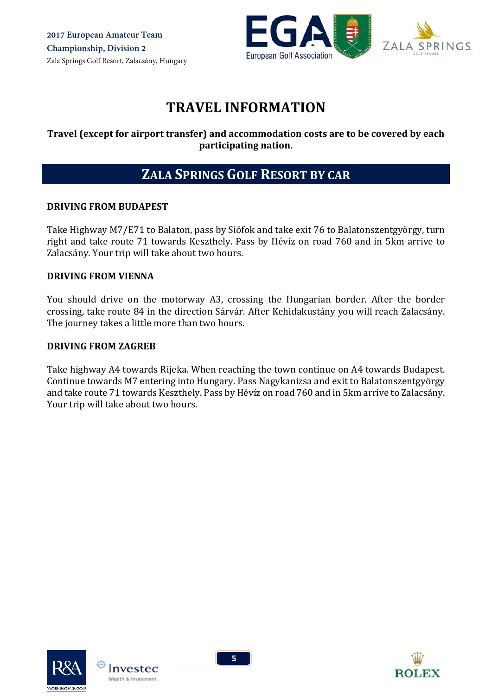

# **TRAVEL INFORMATION**

#### **Travel (except for airport transfer) and accommodation costs are to be covered by each participating nation.**

## **ZALA SPRINGS GOLF RESORT BY CAR**

#### **DRIVING FROM BUDAPEST**

Take Highway M7/E71 to Balaton, pass by Siófok and take exit 76 to Balatonszentgyörgy, turn right and take route 71 towards Keszthely. Pass by Hévíz on road 760 and in 5km arrive to Zalacsány. Your trip will take about two hours.

#### **DRIVING FROM VIENNA**

You should drive on the motorway A3, crossing the Hungarian border. After the border crossing, take route 84 in the direction Sárvár. After Kehidakustány you will reach Zalacsány. The journey takes a little more than two hours.

#### **DRIVING FROM ZAGREB**

Take highway A4 towards Rijeka. When reaching the town continue on A4 towards Budapest. Continue towards M7 entering into Hungary. Pass Nagykanizsa and exit to Balatonszentgyörgy and take route 71 towards Keszthely. Pass by Hévíz on road 760 and in 5km arrive to Zalacsány. Your trip will take about two hours.





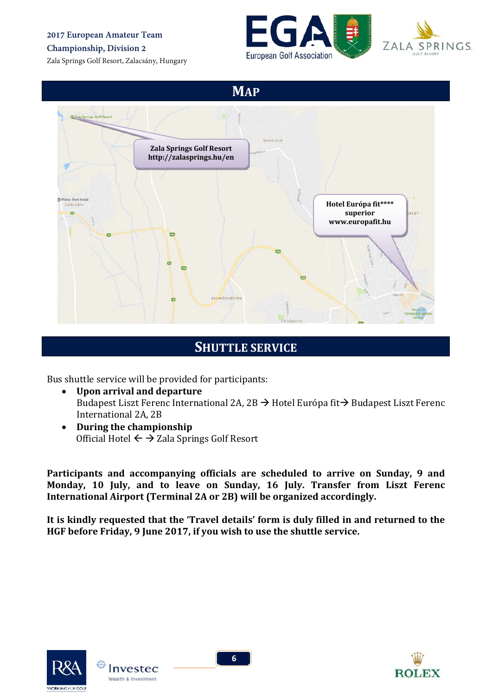**2017 European Amateur Team** 

#### **Championship, Division 2**

Zala Springs Golf Resort, Zalacsány, Hungary





**MAP** CZala Springs Golf Resor Nemesbul **Zala Springs Golf Resort http://zalasprings.hu/en** Platan Park He **Hotel Európa fit\*\*\*\* superior** REGY **www.europafit.hu**  $\overline{a}$ 760 **ZALAKÖSZVÉNYES** 

### **SHUTTLE SERVICE**

Bus shuttle service will be provided for participants:

- **Upon arrival and departure** Budapest Liszt Ferenc International 2A, 2B  $\rightarrow$  Hotel Európa fit $\rightarrow$  Budapest Liszt Ferenc International 2A, 2B
- **During the championship** Official Hotel  $\leftarrow \rightarrow$  Zala Springs Golf Resort

**Participants and accompanying officials are scheduled to arrive on Sunday, 9 and Monday, 10 July, and to leave on Sunday, 16 July. Transfer from Liszt Ferenc International Airport (Terminal 2A or 2B) will be organized accordingly.** 

**It is kindly requested that the 'Travel details' form is duly filled in and returned to the HGF before Friday, 9 June 2017, if you wish to use the shuttle service.**





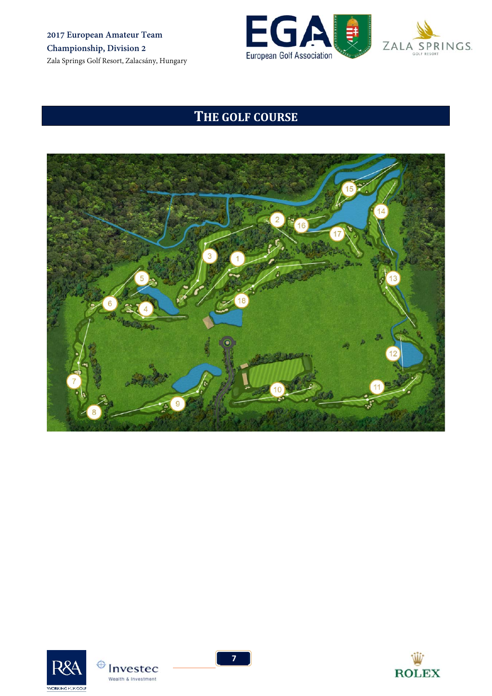**2017 European Amateur Team Championship, Division 2** Zala Springs Golf Resort, Zalacsány, Hungary





# **THE GOLF COURSE**







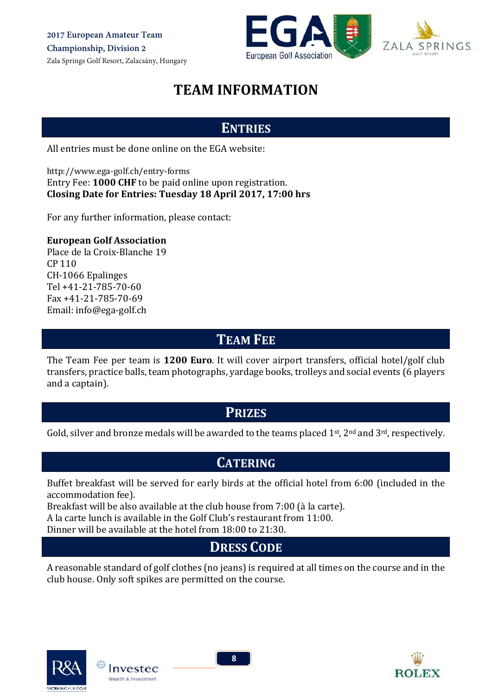

PRINGS.

# **TEAM INFORMATION**

## **ENTRIES**

All entries must be done online on the EGA website:

http://www.ega‐golf.ch/entry‐forms Entry Fee: **1000 CHF** to be paid online upon registration. **Closing Date for Entries: Tuesday 18 April 2017, 17:00 hrs**

For any further information, please contact:

#### **European Golf Association**

Place de la Croix‐Blanche 19 CP 110 CH-1066 Epalinges Tel +41‐21‐785‐70‐60 Fax +41‐21‐785‐70‐69 Email: info@ega-golf.ch

### **TEAM FEE**

The Team Fee per team is **1200 Euro**. It will cover airport transfers, official hotel/golf club transfers, practice balls, team photographs, yardage books, trolleys and social events (6 players and a captain).

### **PRIZES**

Gold, silver and bronze medals will be awarded to the teams placed  $1<sup>st</sup>$ ,  $2<sup>nd</sup>$  and  $3<sup>rd</sup>$ , respectively.

### **CATERING**

Buffet breakfast will be served for early birds at the official hotel from 6:00 (included in the accommodation fee).

Breakfast will be also available at the club house from 7:00 (à la carte).

A la carte lunch is available in the Golf Club's restaurant from 11:00.

Dinner will be available at the hotel from 18:00 to 21:30.

## **DRESS CODE**

A reasonable standard of golf clothes (no jeans) is required at all times on the course and in the club house. Only soft spikes are permitted on the course.





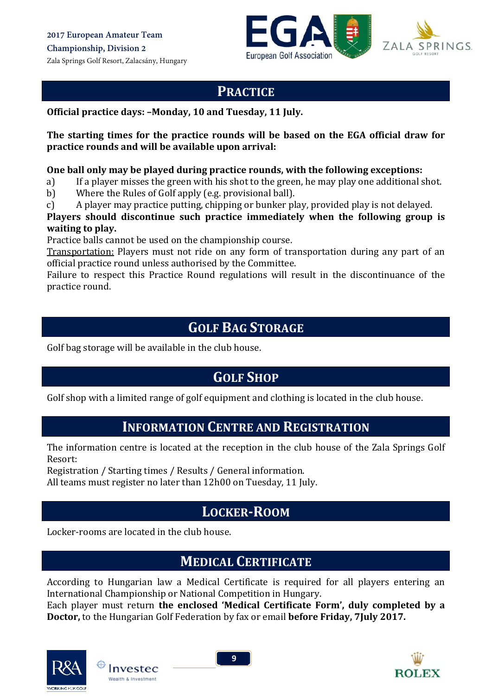



### **PRACTICE**

**Official practice days: –Monday, 10 and Tuesday, 11 July.** 

**The starting times for the practice rounds will be based on the EGA official draw for practice rounds and will be available upon arrival:**

#### **One ball only may be played during practice rounds, with the following exceptions:**

- a) If a player misses the green with his shot to the green, he may play one additional shot.
- b) Where the Rules of Golf apply (e.g. provisional ball).
- c) A player may practice putting, chipping or bunker play, provided play is not delayed.

**Players should discontinue such practice immediately when the following group is waiting to play.**

Practice balls cannot be used on the championship course.

Transportation: Players must not ride on any form of transportation during any part of an official practice round unless authorised by the Committee.

Failure to respect this Practice Round regulations will result in the discontinuance of the practice round.

### **GOLF BAG STORAGE**

Golf bag storage will be available in the club house.

## **GOLF SHOP**

Golf shop with a limited range of golf equipment and clothing is located in the club house.

### **INFORMATION CENTRE AND REGISTRATION**

The information centre is located at the reception in the club house of the Zala Springs Golf Resort: 

Registration / Starting times / Results / General information.

All teams must register no later than 12h00 on Tuesday, 11 July.

## **LOCKER‐ROOM**

Locker-rooms are located in the club house.

# **MEDICAL CERTIFICATE**

According to Hungarian law a Medical Certificate is required for all players entering an International Championship or National Competition in Hungary.

Each player must return **the enclosed 'Medical Certificate Form', duly completed by a Doctor,** to the Hungarian Golf Federation by fax or email **before Friday, 7July 2017.** 



Invested **Wealth & Investment** 

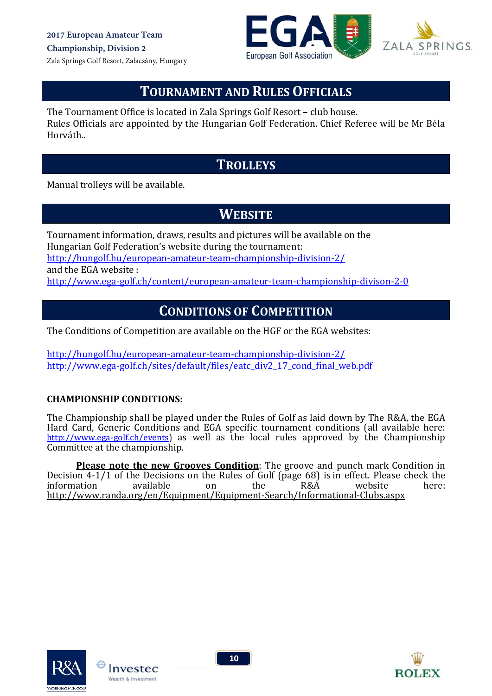



## **TOURNAMENT AND RULES OFFICIALS**

The Tournament Office is located in Zala Springs Golf Resort – club house. Rules Officials are appointed by the Hungarian Golf Federation. Chief Referee will be Mr Béla Horváth.. 

### **TROLLEYS**

Manual trolleys will be available.

# **WEBSITE**

Tournament information, draws, results and pictures will be available on the Hungarian Golf Federation's website during the tournament: http://hungolf.hu/european‐amateur‐team‐championship‐division‐2/ and the EGA website: http://www.ega‐golf.ch/content/european‐amateur‐team‐championship‐divison‐2‐0

### **CONDITIONS OF COMPETITION**

The Conditions of Competition are available on the HGF or the EGA websites:

http://hungolf.hu/european‐amateur‐team‐championship‐division‐2/ http://www.ega-golf.ch/sites/default/files/eatc\_div2\_17\_cond\_final\_web.pdf

#### **CHAMPIONSHIP CONDITIONS:**

The Championship shall be played under the Rules of Golf as laid down by The R&A, the EGA Hard Card, Generic Conditions and EGA specific tournament conditions (all available here: http://www.ega-golf.ch/events) as well as the local rules approved by the Championship Committee at the championship.

**Please note the new Grooves Condition**: The groove and punch mark Condition in Decision  $4-1/1$  of the Decisions on the Rules of Golf (page 68) is in effect. Please check the information available on the R&A website here: information available on the  $R&A$  website here: http://www.randa.org/en/Equipment/Equipment‐Search/Informational‐Clubs.aspx





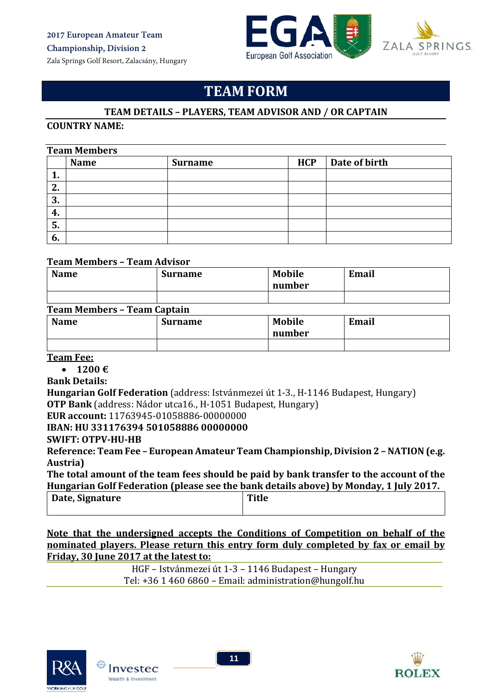Zala Springs Golf Resort, Zalacsány, Hungary





## **TEAM FORM**

#### **TEAM DETAILS – PLAYERS, TEAM ADVISOR AND / OR CAPTAIN**

#### **COUNTRY NAME:**

#### **Team Members**

|    | - - ---- - - - --- - - - - |                |            |               |
|----|----------------------------|----------------|------------|---------------|
|    | <b>Name</b>                | <b>Surname</b> | <b>HCP</b> | Date of birth |
| л. |                            |                |            |               |
| 2. |                            |                |            |               |
| 3. |                            |                |            |               |
| 4. |                            |                |            |               |
| 5. |                            |                |            |               |
| 6. |                            |                |            |               |
|    |                            |                |            |               |

#### **Team Members – Team Advisor**

| <b>Name</b> | <b>Surname</b> | <b>Mobile</b><br>number | Email |
|-------------|----------------|-------------------------|-------|
|             |                |                         |       |

#### **Team Members – Team Captain**

| <b>Name</b> | <b>Surname</b> | <b>Mobile</b><br>number | Email |
|-------------|----------------|-------------------------|-------|
|             |                |                         |       |

#### **Team Fee:**

**1200 €**

**Bank Details:**

**Hungarian Golf Federation** (address: Istvánmezei út 1-3., H-1146 Budapest, Hungary) **OTP Bank** (address: Nádor utca16., H-1051 Budapest, Hungary)

**EUR account:** 11763945‐01058886‐00000000 

**IBAN: HU 331176394 501058886 00000000**

**SWIFT: OTPV‐HU‐HB**

**Reference: Team Fee – European Amateur Team Championship, Division 2 – NATION (e.g. Austria)**

**The total amount of the team fees should be paid by bank transfer to the account of the Hungarian Golf Federation (please see the bank details above) by Monday, 1 July 2017.**

| Date, Signature | <b>Title</b> |  |  |  |  |
|-----------------|--------------|--|--|--|--|
|                 |              |  |  |  |  |

**Note that the undersigned accepts the Conditions of Competition on behalf of the nominated players. Please return this entry form duly completed by fax or email by Friday, 30 June 2017 at the latest to:**

> HGF – Istvánmezei út 1-3 – 1146 Budapest – Hungary Tel: +36 1 460 6860 - Email: administration@hungolf.hu





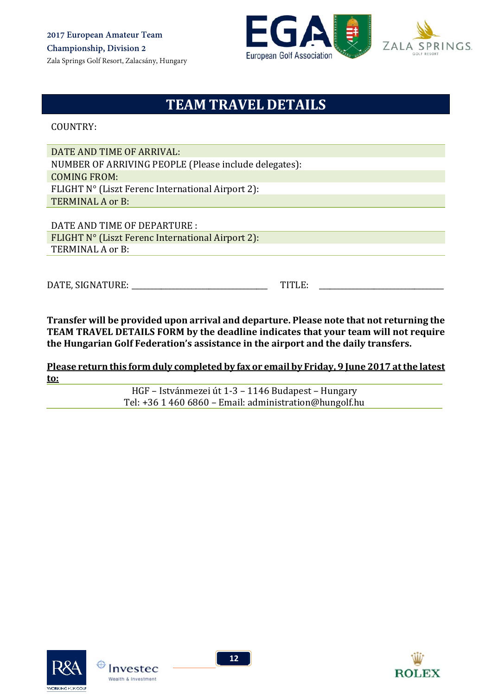



# **TEAM TRAVEL DETAILS**

COUNTRY: 

DATE AND TIME OF ARRIVAL: NUMBER OF ARRIVING PEOPLE (Please include delegates): COMING FROM: FLIGHT N° (Liszt Ferenc International Airport 2): TERMINAL A or B:

DATE AND TIME OF DEPARTURE : FLIGHT  $N^{\circ}$  (Liszt Ferenc International Airport 2): TERMINAL A or B:

DATE, SIGNATURE: TITLE:

**Transfer will be provided upon arrival and departure. Please note that not returning the TEAM TRAVEL DETAILS FORM by the deadline indicates that your team will not require the Hungarian Golf Federation's assistance in the airport and the daily transfers.** 

**Please return this form duly completed by fax or email by Friday, 9 June 2017 atthe latest to:**

> HGF – Istvánmezei út 1-3 – 1146 Budapest – Hungary Tel: +36 1 460 6860 - Email: administration@hungolf.hu



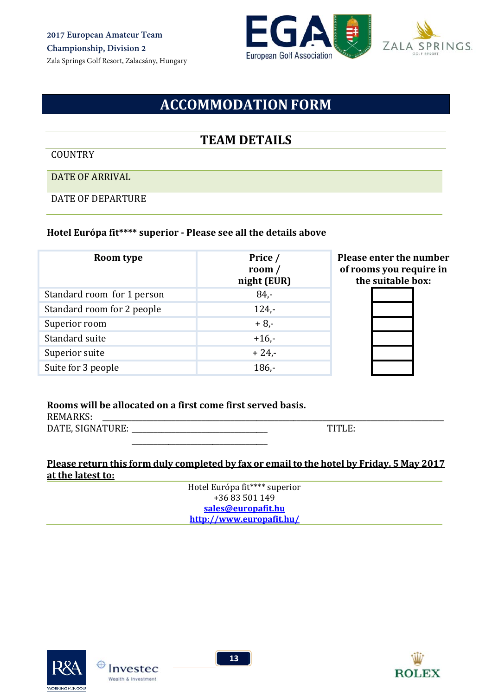



# **ACCOMMODATION FORM**

### **TEAM DETAILS**

#### COUNTRY

DATE OF ARRIVAL

DATE OF DEPARTURE

#### **Hotel Európa fit\*\*\*\* superior ‐ Please see all the details above**

| Room type                  | Price /<br>room $/$<br>night (EUR) | <b>Please enter the number</b><br>of rooms you require in<br>the suitable box: |
|----------------------------|------------------------------------|--------------------------------------------------------------------------------|
| Standard room for 1 person | $84 -$                             |                                                                                |
| Standard room for 2 people | $124 -$                            |                                                                                |
| Superior room              | $+8,-$                             |                                                                                |
| Standard suite             | $+16, -$                           |                                                                                |
| Superior suite             | $+24,-$                            |                                                                                |
| Suite for 3 people         | $186 -$                            |                                                                                |

#### **Rooms will be allocated on a first come first served basis.**

REMARKS: DATE, SIGNATURE: \_\_\_\_\_\_\_\_\_\_\_\_\_\_\_\_\_\_\_\_\_\_\_\_\_\_\_\_\_\_\_\_\_\_\_\_\_ TITLE:  $\overline{\phantom{a}}$  ,  $\overline{\phantom{a}}$  ,  $\overline{\phantom{a}}$  ,  $\overline{\phantom{a}}$  ,  $\overline{\phantom{a}}$  ,  $\overline{\phantom{a}}$  ,  $\overline{\phantom{a}}$  ,  $\overline{\phantom{a}}$  ,  $\overline{\phantom{a}}$  ,  $\overline{\phantom{a}}$  ,  $\overline{\phantom{a}}$  ,  $\overline{\phantom{a}}$  ,  $\overline{\phantom{a}}$  ,  $\overline{\phantom{a}}$  ,  $\overline{\phantom{a}}$  ,  $\overline{\phantom{a}}$ 

#### **Please return this form duly completed by fax or email to the hotel by Friday, 5 May 2017 at the latest to:**

Hotel Európa fit\*\*\*\* superior +36 83 501 149 **sales@europafit.hu http://www.europafit.hu/**